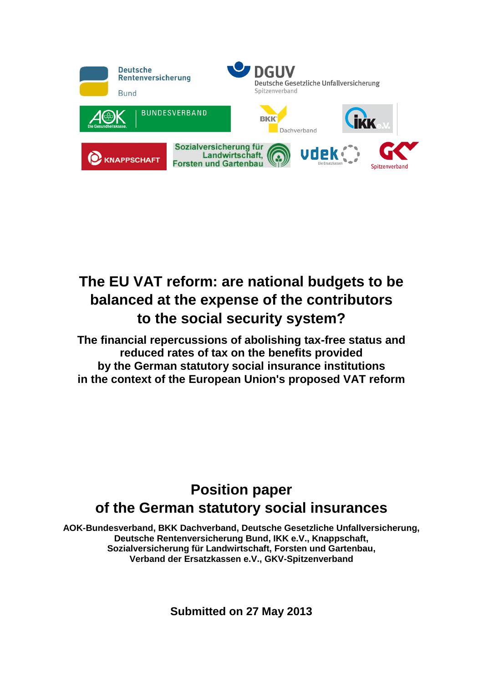

# **The EU VAT reform: are national budgets to be balanced at the expense of the contributors to the social security system?**

**The financial repercussions of abolishing tax-free status and reduced rates of tax on the benefits provided by the German statutory social insurance institutions in the context of the European Union's proposed VAT reform**

## **Position paper of the German statutory social insurances**

**AOK-Bundesverband, BKK Dachverband, Deutsche Gesetzliche Unfallversicherung, Deutsche Rentenversicherung Bund, IKK e.V., Knappschaft, Sozialversicherung für Landwirtschaft, Forsten und Gartenbau, Verband der Ersatzkassen e.V., GKV-Spitzenverband**

**Submitted on 27 May 2013**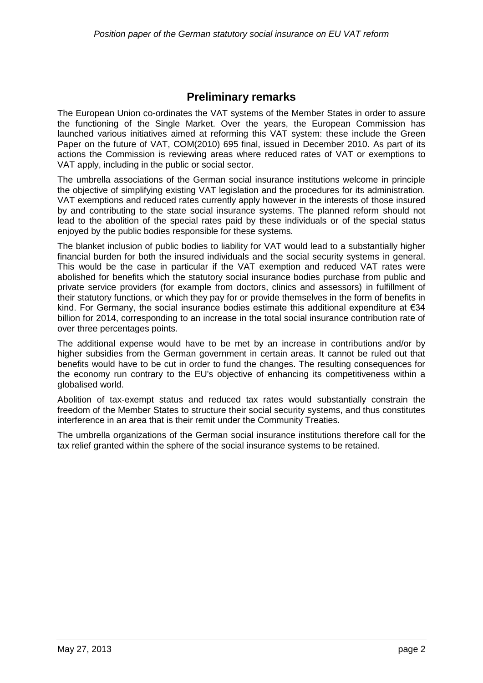#### **Preliminary remarks**

The European Union co-ordinates the VAT systems of the Member States in order to assure the functioning of the Single Market. Over the years, the European Commission has launched various initiatives aimed at reforming this VAT system: these include the Green Paper on the future of VAT, COM(2010) 695 final, issued in December 2010. As part of its actions the Commission is reviewing areas where reduced rates of VAT or exemptions to VAT apply, including in the public or social sector.

The umbrella associations of the German social insurance institutions welcome in principle the objective of simplifying existing VAT legislation and the procedures for its administration. VAT exemptions and reduced rates currently apply however in the interests of those insured by and contributing to the state social insurance systems. The planned reform should not lead to the abolition of the special rates paid by these individuals or of the special status enjoyed by the public bodies responsible for these systems.

The blanket inclusion of public bodies to liability for VAT would lead to a substantially higher financial burden for both the insured individuals and the social security systems in general. This would be the case in particular if the VAT exemption and reduced VAT rates were abolished for benefits which the statutory social insurance bodies purchase from public and private service providers (for example from doctors, clinics and assessors) in fulfillment of their statutory functions, or which they pay for or provide themselves in the form of benefits in kind. For Germany, the social insurance bodies estimate this additional expenditure at €34 billion for 2014, corresponding to an increase in the total social insurance contribution rate of over three percentages points.

The additional expense would have to be met by an increase in contributions and/or by higher subsidies from the German government in certain areas. It cannot be ruled out that benefits would have to be cut in order to fund the changes. The resulting consequences for the economy run contrary to the EU's objective of enhancing its competitiveness within a globalised world.

Abolition of tax-exempt status and reduced tax rates would substantially constrain the freedom of the Member States to structure their social security systems, and thus constitutes interference in an area that is their remit under the Community Treaties.

The umbrella organizations of the German social insurance institutions therefore call for the tax relief granted within the sphere of the social insurance systems to be retained.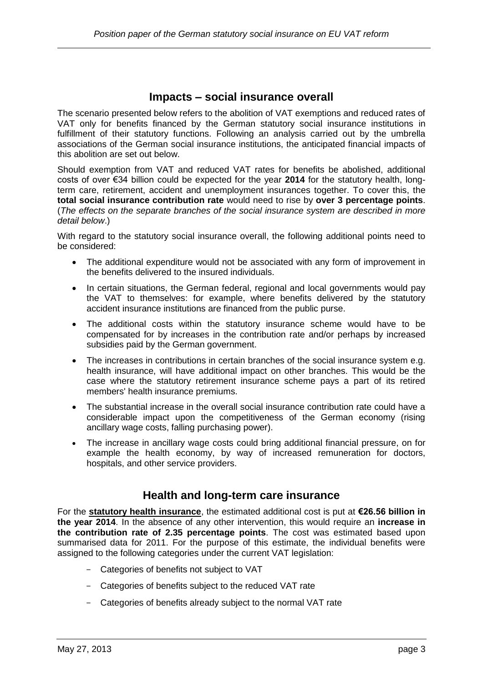#### **Impacts – social insurance overall**

The scenario presented below refers to the abolition of VAT exemptions and reduced rates of VAT only for benefits financed by the German statutory social insurance institutions in fulfillment of their statutory functions. Following an analysis carried out by the umbrella associations of the German social insurance institutions, the anticipated financial impacts of this abolition are set out below.

Should exemption from VAT and reduced VAT rates for benefits be abolished, additional costs of over €34 billion could be expected for the year **2014** for the statutory health, longterm care, retirement, accident and unemployment insurances together. To cover this, the **total social insurance contribution rate** would need to rise by **over 3 percentage points**. (*The effects on the separate branches of the social insurance system are described in more detail below*.)

With regard to the statutory social insurance overall, the following additional points need to be considered:

- The additional expenditure would not be associated with any form of improvement in the benefits delivered to the insured individuals.
- In certain situations, the German federal, regional and local governments would pay the VAT to themselves: for example, where benefits delivered by the statutory accident insurance institutions are financed from the public purse.
- The additional costs within the statutory insurance scheme would have to be compensated for by increases in the contribution rate and/or perhaps by increased subsidies paid by the German government.
- The increases in contributions in certain branches of the social insurance system e.g. health insurance, will have additional impact on other branches. This would be the case where the statutory retirement insurance scheme pays a part of its retired members' health insurance premiums.
- The substantial increase in the overall social insurance contribution rate could have a considerable impact upon the competitiveness of the German economy (rising ancillary wage costs, falling purchasing power).
- The increase in ancillary wage costs could bring additional financial pressure, on for example the health economy, by way of increased remuneration for doctors, hospitals, and other service providers.

#### **Health and long-term care insurance**

For the **statutory health insurance**, the estimated additional cost is put at **€26.56 billion in the year 2014**. In the absence of any other intervention, this would require an **increase in the contribution rate of 2.35 percentage points**. The cost was estimated based upon summarised data for 2011. For the purpose of this estimate, the individual benefits were assigned to the following categories under the current VAT legislation:

- Categories of benefits not subject to VAT
- Categories of benefits subject to the reduced VAT rate
- Categories of benefits already subject to the normal VAT rate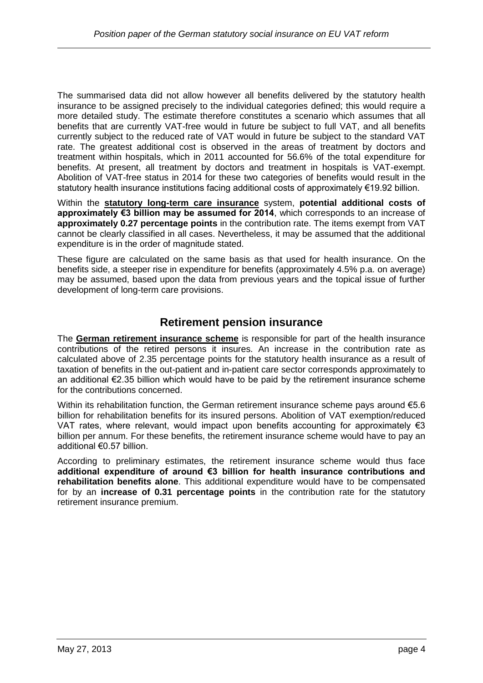The summarised data did not allow however all benefits delivered by the statutory health insurance to be assigned precisely to the individual categories defined; this would require a more detailed study. The estimate therefore constitutes a scenario which assumes that all benefits that are currently VAT-free would in future be subject to full VAT, and all benefits currently subject to the reduced rate of VAT would in future be subject to the standard VAT rate. The greatest additional cost is observed in the areas of treatment by doctors and treatment within hospitals, which in 2011 accounted for 56.6% of the total expenditure for benefits. At present, all treatment by doctors and treatment in hospitals is VAT-exempt. Abolition of VAT-free status in 2014 for these two categories of benefits would result in the statutory health insurance institutions facing additional costs of approximately €19.92 billion.

Within the **statutory long-term care insurance** system, **potential additional costs of approximately €3 billion may be assumed for 2014**, which corresponds to an increase of **approximately 0.27 percentage points** in the contribution rate. The items exempt from VAT cannot be clearly classified in all cases. Nevertheless, it may be assumed that the additional expenditure is in the order of magnitude stated.

These figure are calculated on the same basis as that used for health insurance. On the benefits side, a steeper rise in expenditure for benefits (approximately 4.5% p.a. on average) may be assumed, based upon the data from previous years and the topical issue of further development of long-term care provisions.

#### **Retirement pension insurance**

The **German retirement insurance scheme** is responsible for part of the health insurance contributions of the retired persons it insures. An increase in the contribution rate as calculated above of 2.35 percentage points for the statutory health insurance as a result of taxation of benefits in the out-patient and in-patient care sector corresponds approximately to an additional €2.35 billion which would have to be paid by the retirement insurance scheme for the contributions concerned.

Within its rehabilitation function, the German retirement insurance scheme pays around €5.6 billion for rehabilitation benefits for its insured persons. Abolition of VAT exemption/reduced VAT rates, where relevant, would impact upon benefits accounting for approximately  $\epsilon$ 3 billion per annum. For these benefits, the retirement insurance scheme would have to pay an additional €0.57 billion.

According to preliminary estimates, the retirement insurance scheme would thus face **additional expenditure of around €3 billion for health insurance contributions and rehabilitation benefits alone**. This additional expenditure would have to be compensated for by an **increase of 0.31 percentage points** in the contribution rate for the statutory retirement insurance premium.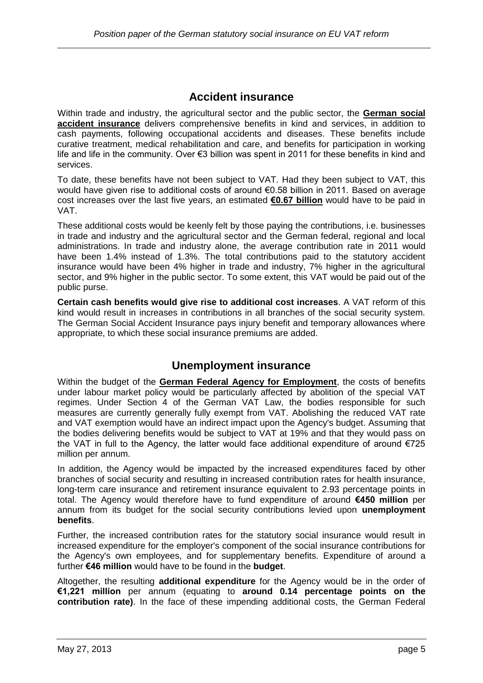#### **Accident insurance**

Within trade and industry, the agricultural sector and the public sector, the **German social accident insurance** delivers comprehensive benefits in kind and services, in addition to cash payments, following occupational accidents and diseases. These benefits include curative treatment, medical rehabilitation and care, and benefits for participation in working life and life in the community. Over €3 billion was spent in 2011 for these benefits in kind and services.

To date, these benefits have not been subject to VAT. Had they been subject to VAT, this would have given rise to additional costs of around €0.58 billion in 2011. Based on average cost increases over the last five years, an estimated **€0.67 billion** would have to be paid in VAT.

These additional costs would be keenly felt by those paying the contributions, i.e. businesses in trade and industry and the agricultural sector and the German federal, regional and local administrations. In trade and industry alone, the average contribution rate in 2011 would have been 1.4% instead of 1.3%. The total contributions paid to the statutory accident insurance would have been 4% higher in trade and industry, 7% higher in the agricultural sector, and 9% higher in the public sector. To some extent, this VAT would be paid out of the public purse.

**Certain cash benefits would give rise to additional cost increases**. A VAT reform of this kind would result in increases in contributions in all branches of the social security system. The German Social Accident Insurance pays injury benefit and temporary allowances where appropriate, to which these social insurance premiums are added.

### **Unemployment insurance**

Within the budget of the **German Federal Agency for Employment**, the costs of benefits under labour market policy would be particularly affected by abolition of the special VAT regimes. Under Section 4 of the German VAT Law, the bodies responsible for such measures are currently generally fully exempt from VAT. Abolishing the reduced VAT rate and VAT exemption would have an indirect impact upon the Agency's budget. Assuming that the bodies delivering benefits would be subject to VAT at 19% and that they would pass on the VAT in full to the Agency, the latter would face additional expenditure of around €725 million per annum.

In addition, the Agency would be impacted by the increased expenditures faced by other branches of social security and resulting in increased contribution rates for health insurance, long-term care insurance and retirement insurance equivalent to 2.93 percentage points in total. The Agency would therefore have to fund expenditure of around **€450 million** per annum from its budget for the social security contributions levied upon **unemployment benefits**.

Further, the increased contribution rates for the statutory social insurance would result in increased expenditure for the employer's component of the social insurance contributions for the Agency's own employees, and for supplementary benefits. Expenditure of around a further **€46 million** would have to be found in the **budget**.

Altogether, the resulting **additional expenditure** for the Agency would be in the order of **€1,221 million** per annum (equating to **around 0.14 percentage points on the contribution rate)**. In the face of these impending additional costs, the German Federal